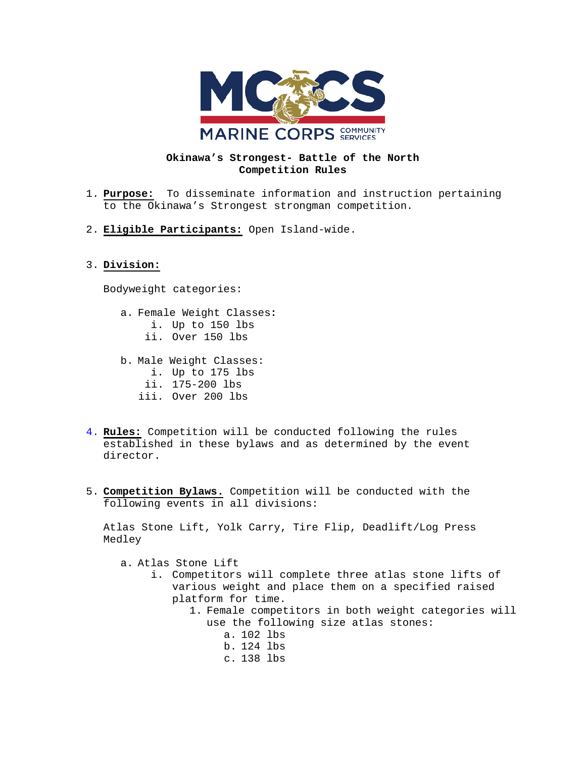

## **Okinawa's Strongest- Battle of the North Competition Rules**

- 1. **Purpose:** To disseminate information and instruction pertaining to the Okinawa's Strongest strongman competition.
- 2. **Eligible Participants:** Open Island-wide.

## 3. **Division:**

Bodyweight categories:

- a. Female Weight Classes**:**
	- i. Up to 150 lbs
	- ii. Over 150 lbs
- b. Male Weight Classes:
	- i. Up to 175 lbs
	- ii. 175-200 lbs
	- iii. Over 200 lbs
- 4. **Rules:** Competition will be conducted following the rules established in these bylaws and as determined by the event director.
- 5. **Competition Bylaws.** Competition will be conducted with the following events in all divisions:

Atlas Stone Lift, Yolk Carry, Tire Flip, Deadlift/Log Press Medley

- a. Atlas Stone Lift
	- i. Competitors will complete three atlas stone lifts of various weight and place them on a specified raised platform for time.
		- 1. Female competitors in both weight categories will use the following size atlas stones:
			- a. 102 lbs b. 124 lbs c. 138 lbs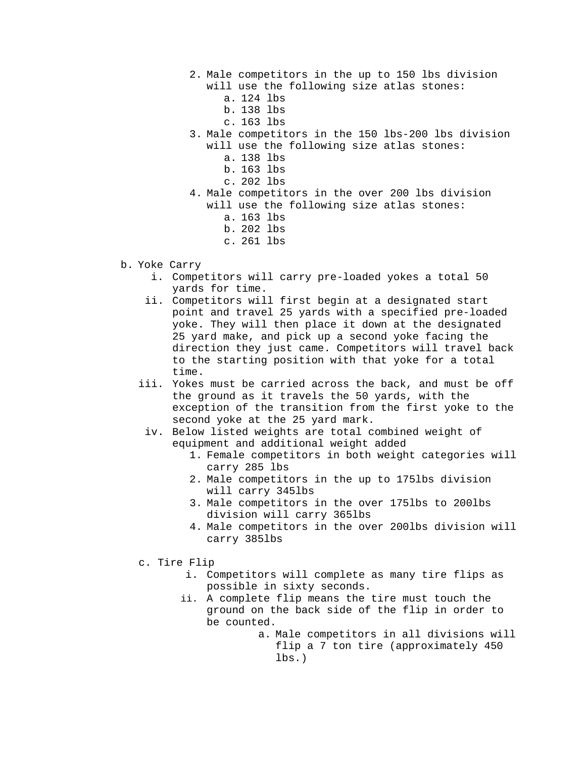- 2. Male competitors in the up to 150 lbs division will use the following size atlas stones:
	- a. 124 lbs
	- b. 138 lbs
	- c. 163 lbs
- 3. Male competitors in the 150 lbs-200 lbs division will use the following size atlas stones:
	- a. 138 lbs
	- b. 163 lbs
	- c. 202 lbs
- 4. Male competitors in the over 200 lbs division will use the following size atlas stones:
	- a. 163 lbs
	- b. 202 lbs
	- c. 261 lbs

## b. Yoke Carry

- i. Competitors will carry pre-loaded yokes a total 50 yards for time.
- ii. Competitors will first begin at a designated start point and travel 25 yards with a specified pre-loaded yoke. They will then place it down at the designated 25 yard make, and pick up a second yoke facing the direction they just came. Competitors will travel back to the starting position with that yoke for a total time.
- iii. Yokes must be carried across the back, and must be off the ground as it travels the 50 yards, with the exception of the transition from the first yoke to the second yoke at the 25 yard mark.
- iv. Below listed weights are total combined weight of equipment and additional weight added
	- 1. Female competitors in both weight categories will carry 285 lbs
	- 2. Male competitors in the up to 175lbs division will carry 345lbs
	- 3. Male competitors in the over 175lbs to 200lbs division will carry 365lbs
	- 4. Male competitors in the over 200lbs division will carry 385lbs
- c. Tire Flip
	- i. Competitors will complete as many tire flips as possible in sixty seconds.
	- ii. A complete flip means the tire must touch the ground on the back side of the flip in order to be counted.
		- a. Male competitors in all divisions will flip a 7 ton tire (approximately 450 lbs.)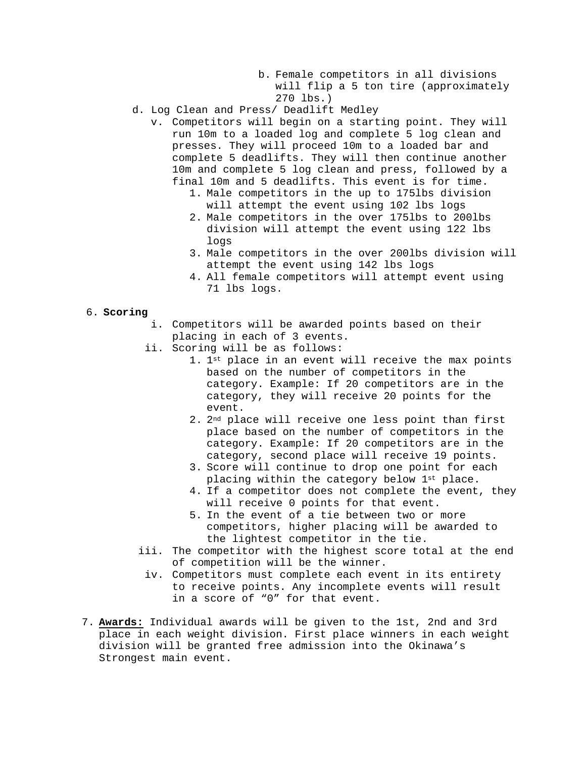- b. Female competitors in all divisions will flip a 5 ton tire (approximately 270 lbs.)
- d. Log Clean and Press/ Deadlift Medley
	- v. Competitors will begin on a starting point. They will run 10m to a loaded log and complete 5 log clean and presses. They will proceed 10m to a loaded bar and complete 5 deadlifts. They will then continue another 10m and complete 5 log clean and press, followed by a final 10m and 5 deadlifts. This event is for time.
		- 1. Male competitors in the up to 175lbs division will attempt the event using 102 lbs logs
		- 2. Male competitors in the over 175lbs to 200lbs division will attempt the event using 122 lbs logs
		- 3. Male competitors in the over 200lbs division will attempt the event using 142 lbs logs
		- 4. All female competitors will attempt event using 71 lbs logs.
- 6. **Scoring**
	- i. Competitors will be awarded points based on their placing in each of 3 events.
	- ii. Scoring will be as follows:
		- 1. 1st place in an event will receive the max points based on the number of competitors in the category. Example: If 20 competitors are in the category, they will receive 20 points for the event.
		- 2. 2nd place will receive one less point than first place based on the number of competitors in the category. Example: If 20 competitors are in the category, second place will receive 19 points.
		- 3. Score will continue to drop one point for each placing within the category below 1st place.
		- 4. If a competitor does not complete the event, they will receive 0 points for that event.
		- 5. In the event of a tie between two or more competitors, higher placing will be awarded to the lightest competitor in the tie.
	- iii. The competitor with the highest score total at the end of competition will be the winner.
	- iv. Competitors must complete each event in its entirety to receive points. Any incomplete events will result in a score of "0" for that event.
- 7. **Awards:** Individual awards will be given to the 1st, 2nd and 3rd place in each weight division. First place winners in each weight division will be granted free admission into the Okinawa's Strongest main event.